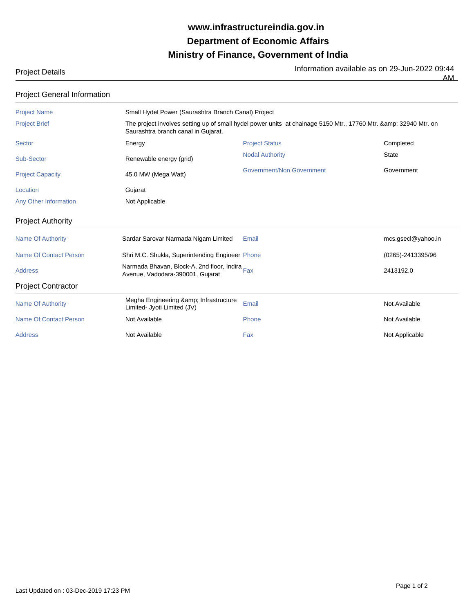## **Ministry of Finance, Government of India Department of Economic Affairs www.infrastructureindia.gov.in**

Project Details **Information available as on 29-Jun-2022** 09:44

 $\overline{AM}$ 

| <b>Project General Information</b> |                                                                                                                                                          |                                  |                    |  |  |
|------------------------------------|----------------------------------------------------------------------------------------------------------------------------------------------------------|----------------------------------|--------------------|--|--|
| <b>Project Name</b>                | Small Hydel Power (Saurashtra Branch Canal) Project                                                                                                      |                                  |                    |  |  |
| <b>Project Brief</b>               | The project involves setting up of small hydel power units at chainage 5150 Mtr., 17760 Mtr. & amp; 32940 Mtr. on<br>Saurashtra branch canal in Gujarat. |                                  |                    |  |  |
| <b>Sector</b>                      | Energy                                                                                                                                                   | <b>Project Status</b>            | Completed          |  |  |
| Sub-Sector                         | Renewable energy (grid)                                                                                                                                  | <b>Nodal Authority</b>           | State              |  |  |
| <b>Project Capacity</b>            | 45.0 MW (Mega Watt)                                                                                                                                      | <b>Government/Non Government</b> | Government         |  |  |
| Location                           | Gujarat                                                                                                                                                  |                                  |                    |  |  |
| Any Other Information              | Not Applicable                                                                                                                                           |                                  |                    |  |  |
| <b>Project Authority</b>           |                                                                                                                                                          |                                  |                    |  |  |
| <b>Name Of Authority</b>           | Sardar Sarovar Narmada Nigam Limited                                                                                                                     | Email                            | mcs.gsecl@yahoo.in |  |  |
| <b>Name Of Contact Person</b>      | Shri M.C. Shukla, Superintending Engineer Phone                                                                                                          |                                  | (0265)-2413395/96  |  |  |
| <b>Address</b>                     | Narmada Bhavan, Block-A, 2nd floor, Indira Fax<br>Avenue, Vadodara-390001, Gujarat                                                                       |                                  | 2413192.0          |  |  |
| <b>Project Contractor</b>          |                                                                                                                                                          |                                  |                    |  |  |
| <b>Name Of Authority</b>           | Megha Engineering & Infrastructure<br>Limited- Jyoti Limited (JV)                                                                                        | Email                            | Not Available      |  |  |
| <b>Name Of Contact Person</b>      | Not Available                                                                                                                                            | Phone                            | Not Available      |  |  |
| <b>Address</b>                     | Not Available                                                                                                                                            | Fax                              | Not Applicable     |  |  |